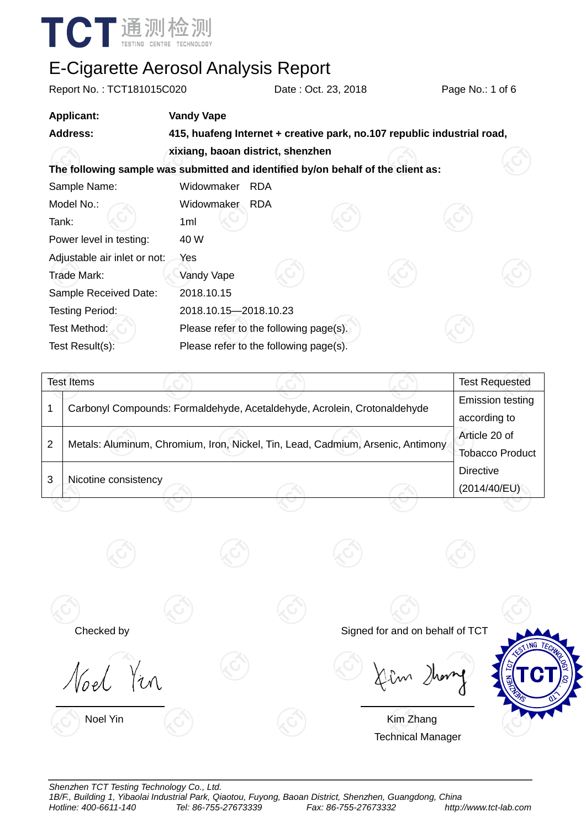

| Report No.: TCT181015C020    |                       | Date: Oct. 23, 2018                                                              | Page No.: 1 of 6      |  |
|------------------------------|-----------------------|----------------------------------------------------------------------------------|-----------------------|--|
| <b>Applicant:</b>            | <b>Vandy Vape</b>     |                                                                                  |                       |  |
| <b>Address:</b>              |                       | 415, huafeng Internet + creative park, no.107 republic industrial road,          |                       |  |
|                              |                       | xixiang, baoan district, shenzhen                                                |                       |  |
|                              |                       | The following sample was submitted and identified by/on behalf of the client as: |                       |  |
| Sample Name:                 | Widowmaker            | <b>RDA</b>                                                                       |                       |  |
| Model No.:                   | Widowmaker            | <b>RDA</b>                                                                       |                       |  |
| Tank:                        | 1ml                   |                                                                                  |                       |  |
| Power level in testing:      | 40 W                  |                                                                                  |                       |  |
| Adjustable air inlet or not: | Yes                   |                                                                                  |                       |  |
| Trade Mark:                  | Vandy Vape            |                                                                                  |                       |  |
| Sample Received Date:        | 2018.10.15            |                                                                                  |                       |  |
| <b>Testing Period:</b>       | 2018.10.15-2018.10.23 |                                                                                  |                       |  |
| Test Method:                 |                       | Please refer to the following page(s).                                           |                       |  |
| Test Result(s):              |                       | Please refer to the following page(s).                                           |                       |  |
|                              |                       |                                                                                  |                       |  |
| <b>Test Items</b>            |                       |                                                                                  | <b>Test Requested</b> |  |

|   |                                                                                 | .                                       |
|---|---------------------------------------------------------------------------------|-----------------------------------------|
|   | Carbonyl Compounds: Formaldehyde, Acetaldehyde, Acrolein, Crotonaldehyde        | <b>Emission testing</b><br>according to |
| 2 | Metals: Aluminum, Chromium, Iron, Nickel, Tin, Lead, Cadmium, Arsenic, Antimony | Article 20 of<br><b>Tobacco Product</b> |
|   | Nicotine consistency                                                            | <b>Directive</b><br>(2014/40/EU)        |
|   |                                                                                 |                                         |

 $\overline{\phantom{a}}$ 

Noel Yin  $\overline{a}$ 

Checked by Signed for and on behalf of TCT



 $\overline{\phantom{a}}$ 

Noel Yin **Kim Zhang** Technical Manager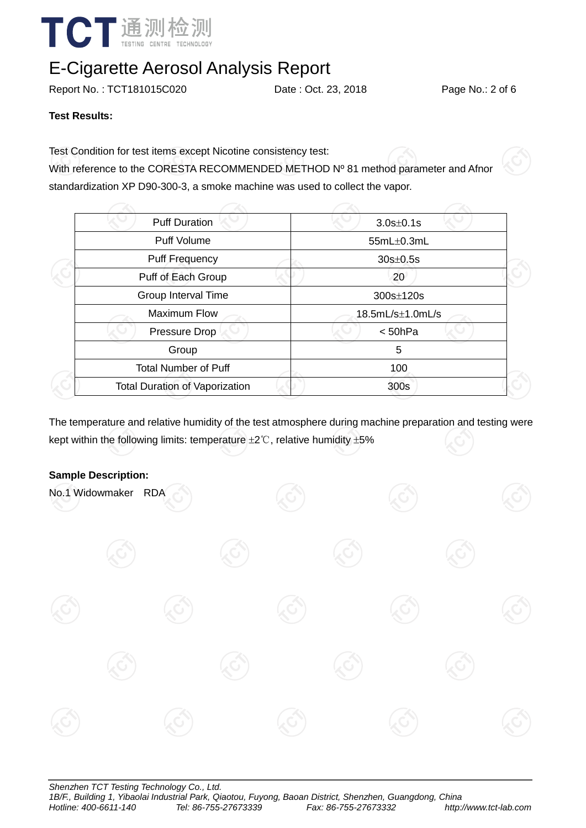

Report No.: TCT181015C020 Date: Oct. 23, 2018 Page No.: 2 of 6

#### **Test Results:**

Test Condition for test items except Nicotine consistency test:

With reference to the CORESTA RECOMMENDED METHOD Nº 81 method parameter and Afnor standardization XP D90-300-3, a smoke machine was used to collect the vapor.

| <b>Puff Duration</b>                  | $3.0s \pm 0.1s$      |  |
|---------------------------------------|----------------------|--|
| <b>Puff Volume</b>                    | $55mL\pm0.3mL$       |  |
| Puff Frequency                        | $30s \pm 0.5s$       |  |
| Puff of Each Group                    | 20                   |  |
| Group Interval Time                   | 300s±120s            |  |
| <b>Maximum Flow</b>                   | $18.5mL/s\pm1.0mL/s$ |  |
| <b>Pressure Drop</b>                  | < 50hPa              |  |
| Group                                 | 5                    |  |
| <b>Total Number of Puff</b>           | 100                  |  |
| <b>Total Duration of Vaporization</b> | 300s                 |  |
|                                       |                      |  |

The temperature and relative humidity of the test atmosphere during machine preparation and testing were kept within the following limits: temperature  $\pm 2^{\circ}$ C, relative humidity  $\pm 5\%$ 

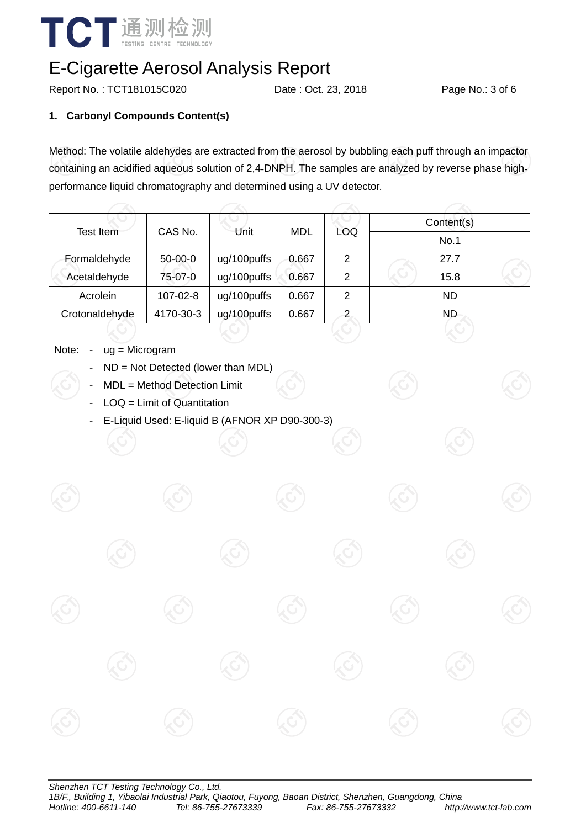

Report No.: TCT181015C020 Date : Oct. 23, 2018 Page No.: 3 of 6

### **1. Carbonyl Compounds Content(s)**

Method: The volatile aldehydes are extracted from the aerosol by bubbling each puff through an impactor containing an acidified aqueous solution of 2,4‐DNPH. The samples are analyzed by reverse phase high‐ performance liquid chromatography and determined using a UV detector.

| Test Item      | CAS No.   | Unit        | <b>MDL</b> | LOQ            | Content(s) |  |  |
|----------------|-----------|-------------|------------|----------------|------------|--|--|
|                |           |             |            |                | No.1       |  |  |
| Formaldehyde   | $50-00-0$ | ug/100puffs | 0.667      | $\overline{2}$ | 27.7       |  |  |
| Acetaldehyde   | 75-07-0   | ug/100puffs | 0.667      | 2              | 15.8       |  |  |
| Acrolein       | 107-02-8  | ug/100puffs | 0.667      | 2              | <b>ND</b>  |  |  |
| Crotonaldehyde | 4170-30-3 | ug/100puffs | 0.667      | $\overline{2}$ | ND.        |  |  |

- Note: ug = Microgram
	- $ND = Not$  Detected (lower than MDL)
	- MDL = Method Detection Limit
	- $LOQ =$  Limit of Quantitation
	- E-Liquid Used: E-liquid B (AFNOR XP D90-300-3)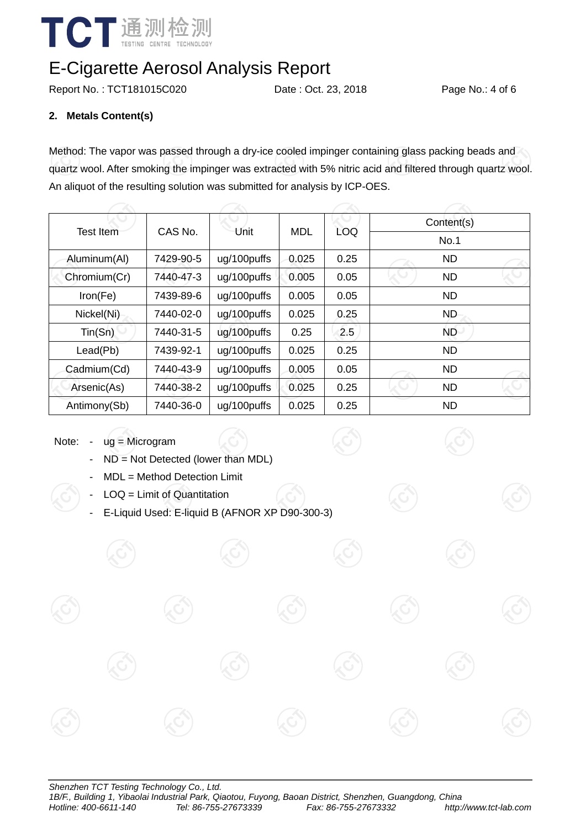

Report No.: TCT181015C020 Date : Oct. 23, 2018 Page No.: 4 of 6

### **2. Metals Content(s)**

Method: The vapor was passed through a dry-ice cooled impinger containing glass packing beads and quartz wool. After smoking the impinger was extracted with 5% nitric acid and filtered through quartz wool. An aliquot of the resulting solution was submitted for analysis by ICP-OES.

| <b>Test Item</b> | CAS No.<br>Unit |             | <b>MDL</b> | LOQ  | Content(s) |  |  |
|------------------|-----------------|-------------|------------|------|------------|--|--|
|                  |                 |             |            |      | No.1       |  |  |
| Aluminum(Al)     | 7429-90-5       | ug/100puffs | 0.025      | 0.25 | <b>ND</b>  |  |  |
| Chromium(Cr)     | 7440-47-3       | ug/100puffs | 0.005      | 0.05 | <b>ND</b>  |  |  |
| Iron(Fe)         | 7439-89-6       | ug/100puffs | 0.005      | 0.05 | <b>ND</b>  |  |  |
| Nickel(Ni)       | 7440-02-0       | ug/100puffs | 0.025      | 0.25 | ND         |  |  |
| Tin(Sn)          | 7440-31-5       | ug/100puffs | 0.25       | 2.5  | ND.        |  |  |
| Lead(Pb)         | 7439-92-1       | ug/100puffs | 0.025      | 0.25 | <b>ND</b>  |  |  |
| Cadmium(Cd)      | 7440-43-9       | ug/100puffs | 0.005      | 0.05 | <b>ND</b>  |  |  |
| Arsenic(As)      | 7440-38-2       | ug/100puffs | 0.025      | 0.25 | <b>ND</b>  |  |  |
| Antimony(Sb)     | 7440-36-0       | ug/100puffs | 0.025      | 0.25 | <b>ND</b>  |  |  |

Note: - ug = Microgram

- ND = Not Detected (lower than MDL)
- MDL = Method Detection Limit
- $LOQ =$  Limit of Quantitation
- E-Liquid Used: E-liquid B (AFNOR XP D90-300-3)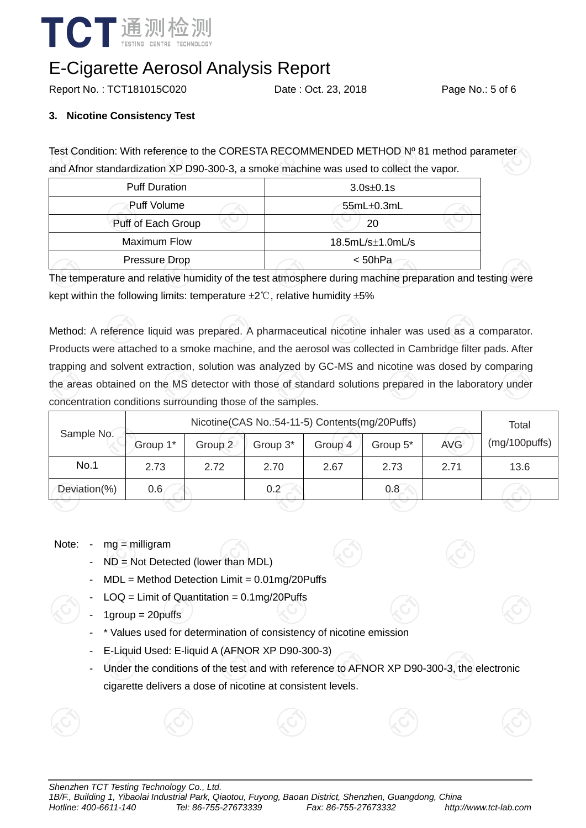

Report No.: TCT181015C020 Date: Oct. 23, 2018 Page No.: 5 of 6

#### **3. Nicotine Consistency Test**

Test Condition: With reference to the CORESTA RECOMMENDED METHOD Nº 81 method parameter and Afnor standardization XP D90-300-3, a smoke machine was used to collect the vapor.

| <b>Puff Duration</b> | $3.0s \pm 0.1s$      |  |  |  |
|----------------------|----------------------|--|--|--|
| Puff Volume          | $55mL\pm0.3mL$       |  |  |  |
| Puff of Each Group   | 20                   |  |  |  |
| Maximum Flow         | $18.5mL/s\pm1.0mL/s$ |  |  |  |
| Pressure Drop        | $<$ 50hPa            |  |  |  |

The temperature and relative humidity of the test atmosphere during machine preparation and testing were kept within the following limits: temperature  $\pm 2^{\circ}$ C, relative humidity  $\pm 5\%$ 

Method: A reference liquid was prepared. A pharmaceutical nicotine inhaler was used as a comparator. Products were attached to a smoke machine, and the aerosol was collected in Cambridge filter pads. After trapping and solvent extraction, solution was analyzed by GC-MS and nicotine was dosed by comparing the areas obtained on the MS detector with those of standard solutions prepared in the laboratory under concentration conditions surrounding those of the samples.

| Sample No.   | Nicotine(CAS No.:54-11-5) Contents(mg/20Puffs) |         |          |         |          |            | Total         |
|--------------|------------------------------------------------|---------|----------|---------|----------|------------|---------------|
|              | Group 1*                                       | Group 2 | Group 3* | Group 4 | Group 5* | <b>AVG</b> | (mg/100puffs) |
| No.1         | 2.73                                           | 2.72    | 2.70     | 2.67    | 2.73     | 2.71       | 13.6          |
| Deviation(%) | 0.6                                            |         | 0.2      |         | 0.8      |            |               |
|              |                                                |         |          |         |          |            |               |

#### Note: - mg = milligram

- $ND = Not$  Detected (lower than MDL)
- $MDL = Method$  Detection Limit =  $0.01$ mg/20Puffs
- $LOQ =$  Limit of Quantitation = 0.1mg/20Puffs
- $1$ group =  $20$ puffs
- \* Values used for determination of consistency of nicotine emission
- E-Liquid Used: E-liquid A (AFNOR XP D90-300-3)
- Under the conditions of the test and with reference to AFNOR XP D90-300-3, the electronic cigarette delivers a dose of nicotine at consistent levels.